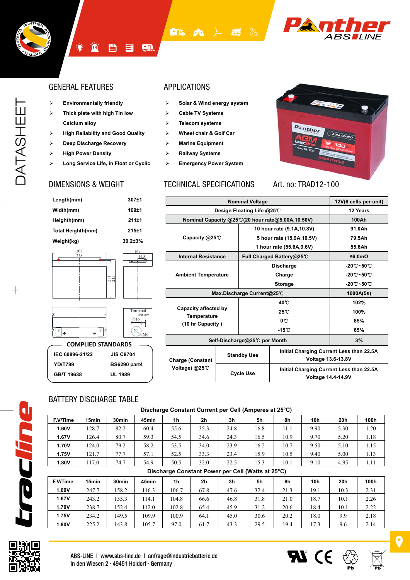



#### GENERAL FEATURES APPLICATIONS

- ¾ **Environmentally friendly**
- ¾ **Thick plate with high Tin low Calcium alloy**

<u>ім</u>

- ¾ **High Reliability and Good Quality**
- ¾ **Deep Discharge Recovery**
- ¾ **High Power Density**
- ¾ **Long Service Life, in Float or Cyclic**

**ET&** 

En

僵

骨

- ¾ **Solar & Wind energy system**
- ¾ **Cable TV Systems**
- ¾ **Telecom systems**
- ¾ **Wheel chair & Golf Car**
- ¾ **Marine Equipment**
- ¾ **Railway Systems**
- ¾ **Emergency Power System**

### DIMENSIONS & WEIGHT TECHNICAL SPECIFICATIONS



**Voltage 14.4-14.9V** 

**AT** CE

Art. no: TRAD12-100

| Length(mm)        | 307±1          |
|-------------------|----------------|
| Width(mm)         | 169±1          |
| Heighth(mm)       | 211±1          |
| Total Heighth(mm) | 215±1          |
| Weight(kg)        | $30.2 \pm 3\%$ |
| 307<br>238        | 169            |



 $\Xi$ 215

| <b>COMPLIED STANDARDS</b> |                     |  |  |  |  |  |  |  |
|---------------------------|---------------------|--|--|--|--|--|--|--|
| IEC 60896-21/22           | <b>JIS C8704</b>    |  |  |  |  |  |  |  |
| <b>YD/T799</b>            | <b>BS6290 part4</b> |  |  |  |  |  |  |  |
| GB/T 19638                | UL 1989             |  |  |  |  |  |  |  |
|                           |                     |  |  |  |  |  |  |  |

|                            | 12V(6 cells per unit) |                                                                                             |                                                   |                                 |
|----------------------------|-----------------------|---------------------------------------------------------------------------------------------|---------------------------------------------------|---------------------------------|
| Design Floating Life @25℃  | 12 Years              |                                                                                             |                                                   |                                 |
|                            |                       |                                                                                             | Nominal Capacity @25°C(20 hour rate@5.00A,10.50V) | 100Ah                           |
|                            |                       |                                                                                             | 10 hour rate (9.1A, 10.8V)                        | 91.0Ah                          |
| Capacity @25°C             |                       |                                                                                             | 5 hour rate (15.9A, 10.5V)                        | 79.5Ah                          |
|                            |                       |                                                                                             | 1 hour rate (55.6A, 9.6V)                         | 55.6Ah                          |
| <b>Internal Resistance</b> |                       |                                                                                             | Full Charged Battery@25℃                          | ≤6.0mΩ                          |
|                            |                       |                                                                                             | <b>Discharge</b>                                  | $-20^\circ$ C $-50^\circ$ C     |
| <b>Ambient Temperature</b> |                       |                                                                                             | Charge                                            | $-20^{\circ}$ C $-50^{\circ}$ C |
|                            |                       |                                                                                             | <b>Storage</b>                                    | $-20^\circ$ C $-50^\circ$ C     |
|                            |                       | Max.Discharge Current@25℃                                                                   |                                                   | 1000A(5s)                       |
|                            |                       |                                                                                             | 40 C                                              | 102%                            |
| Capacity affected by       |                       |                                                                                             | $25^{\circ}$ C                                    | 100%                            |
| Temperature                |                       | $0^{\circ}$                                                                                 |                                                   | 85%                             |
| (10 hr Capacity)           |                       |                                                                                             | $-15^{\circ}$ C                                   | 65%                             |
|                            |                       | Self-Discharge@25℃ per Month                                                                |                                                   | 3%                              |
| <b>Charge (Constant</b>    |                       | Initial Charging Current Less than 22.5A<br><b>Standby Use</b><br><b>Voltage 13.6-13.8V</b> |                                                   |                                 |
| Voltage) @25℃              |                       | <b>Cycle Use</b>                                                                            | Initial Charging Current Less than 22.5A          |                                 |

### BATTERY DISCHARGE TABLE

#### **Discharge Constant Current per Cell (Amperes at 25°C)**

| F.V/Time | 15min | 30 <sub>min</sub> | 45min | 1 <sub>h</sub> | 2h   | 3 <sub>h</sub> | 5h   | 8h   | 10h  | 20h  | 100h |
|----------|-------|-------------------|-------|----------------|------|----------------|------|------|------|------|------|
| 1.60V    | 128.7 | 82.2              | 60.4  | 55.6           | 35.3 | 24.8           | 16.8 | 11.1 | 9.90 | 5.30 | 1.20 |
| 1.67V    | 26.4  | 80.7              | 59.3  | 54.5           | 34.6 | 24.3           | 16.5 | 10.9 | 9.70 | 5.20 | 1.18 |
| 1.70V    | 24.0  | 79.2              | 58.2  | 53.5           | 34.0 | 23.9           | 16.2 | 10.7 | 9.50 | 5.10 | 1.15 |
| 1.75V    | 121.7 | 77.7              | 57.1  | 52.5           | 33.3 | 23.4           | 15.9 | 10.5 | 9.40 | 5.00 | 1.13 |
| 1.80V    | 117.0 | 74.7              | 54.9  | 50.5           | 32.0 | 22.5           | 15.3 | 10.1 | 9.10 | 4.95 | 1.11 |
|          |       |                   |       |                |      |                |      |      |      |      |      |

|          | Discharge Constant Power per Cell (Watts at 25°C) |                   |       |       |                |      |      |      |      |      |      |
|----------|---------------------------------------------------|-------------------|-------|-------|----------------|------|------|------|------|------|------|
| F.V/Time | 15 <sub>min</sub>                                 | 30 <sub>min</sub> | 45min | 1h    | 2 <sub>h</sub> | 3h   | 5h   | 8h   | 10h  | 20h  | 100h |
| 1.60V    | 247.7                                             | 158.2             | 16.3  | 106.7 | 67.8           | 47.6 | 32.4 | 21.3 | 19.1 | 10.3 | 2.31 |
| 1.67V    | 243.2                                             | 155.3             | 14.1  | 104.8 | 66.6           | 46.8 | 31.8 | 21.0 | 18.7 | 10.1 | 2.26 |
| 1.70V    | 238.7                                             | 152.4             | 12.0  | 102.8 | 65.4           | 45.9 | 31.2 | 20.6 | 18.4 | 10.1 | 2.22 |
| 1.75V    | 234.2                                             | 149.5             | 109.9 | 100.9 | 64.1           | 45.0 | 30.6 | 20.2 | 18.0 | 9.9  | 2.18 |
| 1.80V    | 225.2                                             | 143.8             | 105.7 | 97.0  | 61.7           | 43.3 | 29.5 | 19.4 | 17.3 | 9.6  | 2.14 |



mulhoe

 $\overline{\mathbf{Q}}$